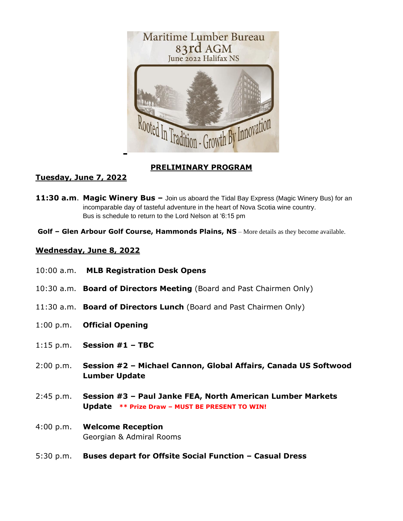

## **PRELIMINARY PROGRAM**

## **Tuesday, June 7, 2022**

- **11:30 a.m**. **Magic Winery Bus –** Join us aboard the Tidal Bay Express (Magic Winery Bus) for an incomparable day of tasteful adventure in the heart of Nova Scotia wine country. Bus is schedule to return to the Lord Nelson at '6:15 pm
- **Golf – Glen Arbour Golf Course, Hammonds Plains, NS** More details as they become available.

## **Wednesday, June 8, 2022**

- 10:00 a.m. **MLB Registration Desk Opens**
- 10:30 a.m. **Board of Directors Meeting** (Board and Past Chairmen Only)
- 11:30 a.m. **Board of Directors Lunch** (Board and Past Chairmen Only)
- 1:00 p.m. **Official Opening**
- 1:15 p.m. **Session #1 – TBC**
- 2:00 p.m. **Session #2 – Michael Cannon, Global Affairs, Canada US Softwood Lumber Update**
- 2:45 p.m. **Session #3 – Paul Janke FEA, North American Lumber Markets Update \*\* Prize Draw – MUST BE PRESENT TO WIN!**
- 4:00 p.m. **Welcome Reception**  Georgian & Admiral Rooms
- 5:30 p.m. **Buses depart for Offsite Social Function – Casual Dress**